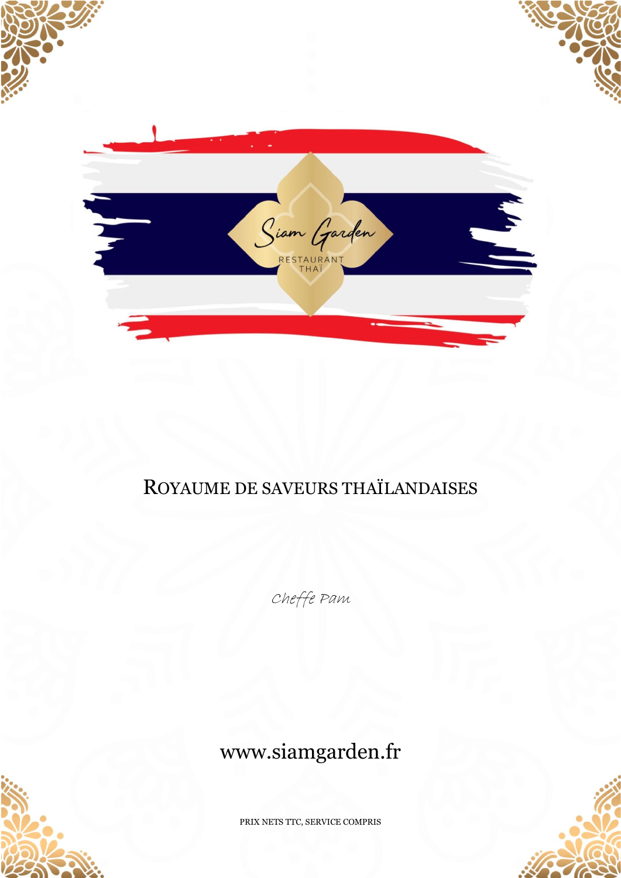

## ROYAUME DE SAVEURS THAÏLANDAISES

Cheffe Pam

# www.siamgarden.fr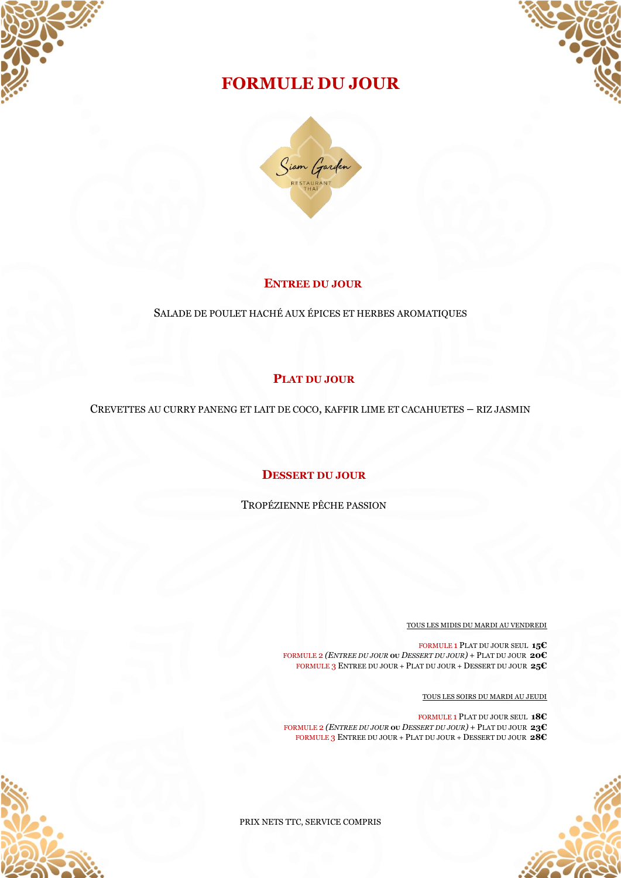



## **FORMULE DU JOUR**



#### **ENTREE DU JOUR**

SALADE DE POULET HACHÉ AUX ÉPICES ET HERBES AROMATIQUES

## **PLAT DU JOUR**

CREVETTES AU CURRY PANENG ET LAIT DE COCO, KAFFIR LIME ET CACAHUETES – RIZ JASMIN

#### **DESSERT DU JOUR**

TROPÉZIENNE PÊCHE PASSION

TOUS LES MIDIS DU MARDI AU VENDREDI

FORMULE 1 PLAT DU JOUR SEUL **15€** FORMULE 2 *(ENTREE DU JOUR* **OU** *DESSERT DU JOUR)* + PLAT DU JOUR **20€** FORMULE 3 ENTREE DU JOUR + PLAT DU JOUR + DESSERT DU JOUR **25€**

TOUS LES SOIRS DU MARDI AU JEUDI

FORMULE 1 PLAT DU JOUR SEUL **18€** FORMULE 2 *(ENTREE DU JOUR* **OU** *DESSERT DU JOUR)* + PLAT DU JOUR **23€** FORMULE 3 ENTREE DU JOUR + PLAT DU JOUR + DESSERT DU JOUR **28€**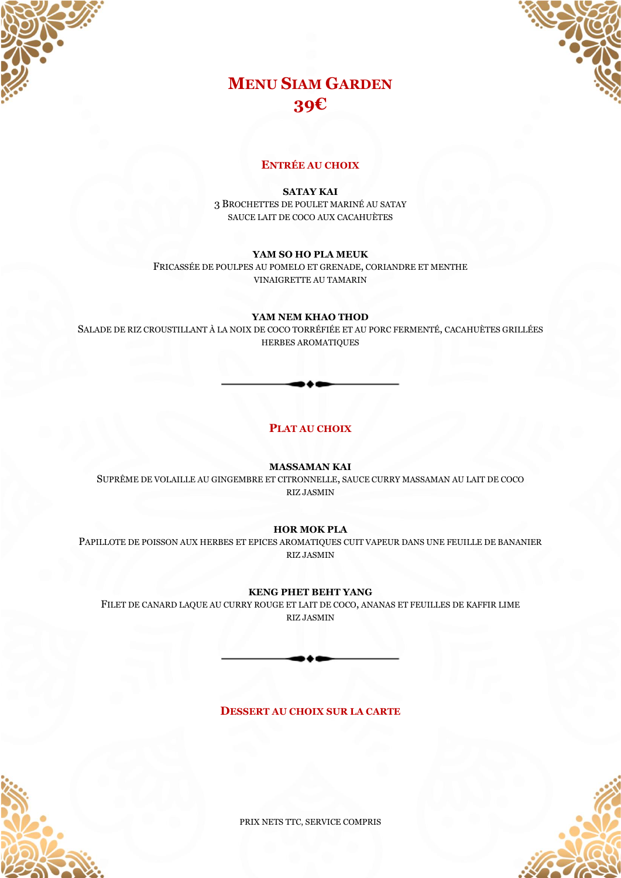



## **MENU SIAM GARDEN 39€**

#### **ENTRÉE AU CHOIX**

**SATAY KAI** 

3 BROCHETTES DE POULET MARINÉ AU SATAY SAUCE LAIT DE COCO AUX CACAHUÈTES

#### YAM SO HO PLA MEUK

FRICASSÉE DE POULPES AU POMELO ET GRENADE, CORIANDRE ET MENTHE VINAIGRETTE AU TAMARIN

#### YAM NEM KHAO THOD

SALADE DE RIZ CROUSTILLANT À LA NOIX DE COCO TORRÉFIÉE ET AU PORC FERMENTÉ, CACAHUÈTES GRILLÉES **HERBES AROMATIQUES** 

#### PLAT AU CHOIX

**MASSAMAN KAI** 

SUPRÊME DE VOLAILLE AU GINGEMBRE ET CITRONNELLE, SAUCE CURRY MASSAMAN AU LAIT DE COCO **RIZ JASMIN** 

#### **HOR MOK PLA**

PAPILLOTE DE POISSON AUX HERBES ET EPICES AROMATIOUES CUIT VAPEUR DANS UNE FEUILLE DE BANANIER **RIZ JASMIN** 

#### **KENG PHET BEHT YANG**

FILET DE CANARD LAQUE AU CURRY ROUGE ET LAIT DE COCO, ANANAS ET FEUILLES DE KAFFIR LIME **RIZ JASMIN** 



**DESSERT AU CHOIX SUR LA CARTE**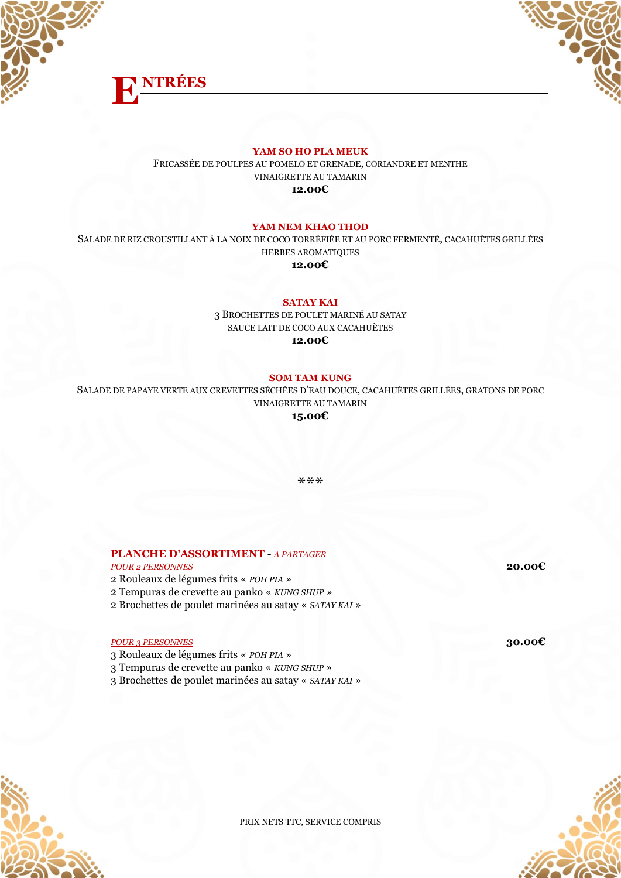



#### **YAM SO HO PLA MEUK**

FRICASSÉE DE POULPES AU POMELO ET GRENADE, CORIANDRE ET MENTHE VINAIGRETTE AU TAMARIN **12.00€**

#### **YAM NEM KHAO THOD**

SALADE DE RIZ CROUSTILLANT À LA NOIX DE COCO TORRÉFIÉE ET AU PORC FERMENTÉ, CACAHUÈTES GRILLÉES HERBES AROMATIQUES **12.00€**

#### **SATAY KAI**

3 BROCHETTES DE POULET MARINÉ AU SATAY SAUCE LAIT DE COCO AUX CACAHUÈTES **12.00€**

#### **SOM TAM KUNG**

SALADE DE PAPAYE VERTE AUX CREVETTES SÉCHÉES D'EAU DOUCE, CACAHUÈTES GRILLÉES, GRATONS DE PORC VINAIGRETTE AU TAMARIN **15.00€**

\*\*\*

#### **PLANCHE D'ASSORTIMENT -** *A PARTAGER* *POUR 2 PERSONNES* **20.00€**

2 Rouleaux de légumes frits « *POH PIA* » 2 Tempuras de crevette au panko « *KUNG SHUP* » 2 Brochettes de poulet marinées au satay « *SATAY KAI* »

*POUR 3 PERSONNES* **30.00€**

3 Rouleaux de légumes frits « *POH PIA* » 3 Tempuras de crevette au panko « *KUNG SHUP* » 3 Brochettes de poulet marinées au satay « *SATAY KAI* »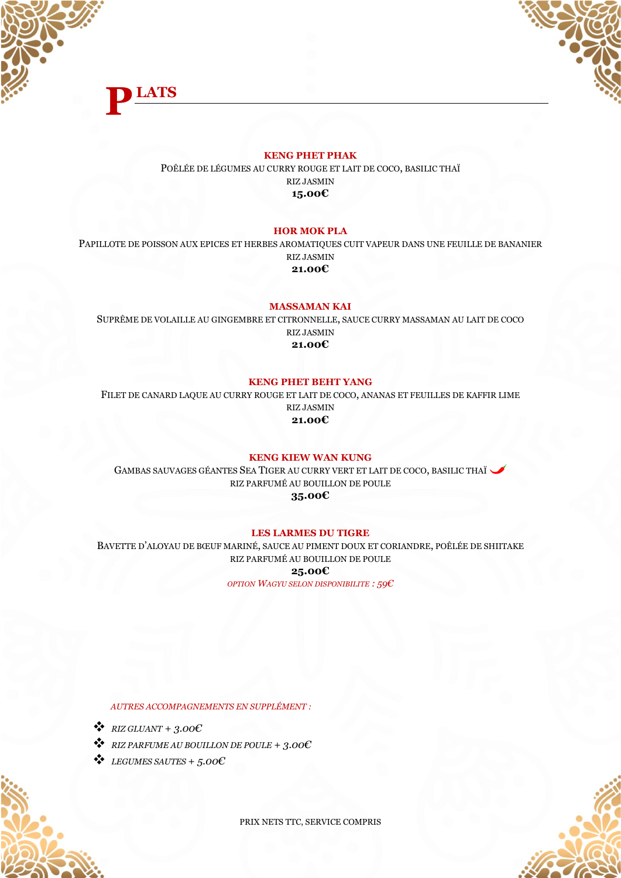



#### **KENG PHET PHAK**

POÊLÉE DE LÉGUMES AU CURRY ROUGE ET LAIT DE COCO, BASILIC THAÏ RIZ JASMIN **15.00€**

#### **HOR MOK PLA**

PAPILLOTE DE POISSON AUX EPICES ET HERBES AROMATIQUES CUIT VAPEUR DANS UNE FEUILLE DE BANANIER RIZ JASMIN **21.00€**

**MASSAMAN KAI**

SUPRÊME DE VOLAILLE AU GINGEMBRE ET CITRONNELLE, SAUCE CURRY MASSAMAN AU LAIT DE COCO RIZ JASMIN **21.00€**

#### **KENG PHET BEHT YANG**

FILET DE CANARD LAQUE AU CURRY ROUGE ET LAIT DE COCO, ANANAS ET FEUILLES DE KAFFIR LIME RIZ JASMIN **21.00€**

#### **KENG KIEW WAN KUNG**

GAMBAS SAUVAGES GÉANTES SEA TIGER AU CURRY VERT ET LAIT DE COCO, BASILIC THAÏ RIZ PARFUMÉ AU BOUILLON DE POULE **35.00€**

#### **LES LARMES DU TIGRE**

BAVETTE D'ALOYAU DE BŒUF MARINÉ, SAUCE AU PIMENT DOUX ET CORIANDRE, POÊLÉE DE SHIITAKE RIZ PARFUMÉ AU BOUILLON DE POULE **25.00€**

*OPTION WAGYU SELON DISPONIBILITE : 59€*

*AUTRES ACCOMPAGNEMENTS EN SUPPLÉMENT :*

- $\bullet$  *RIZ GLUANT* + 3.00 $\epsilon$
- ❖ *RIZ PARFUME AU BOUILLON DE POULE + 3.00€*
- ❖ *LEGUMES SAUTES + 5.00€*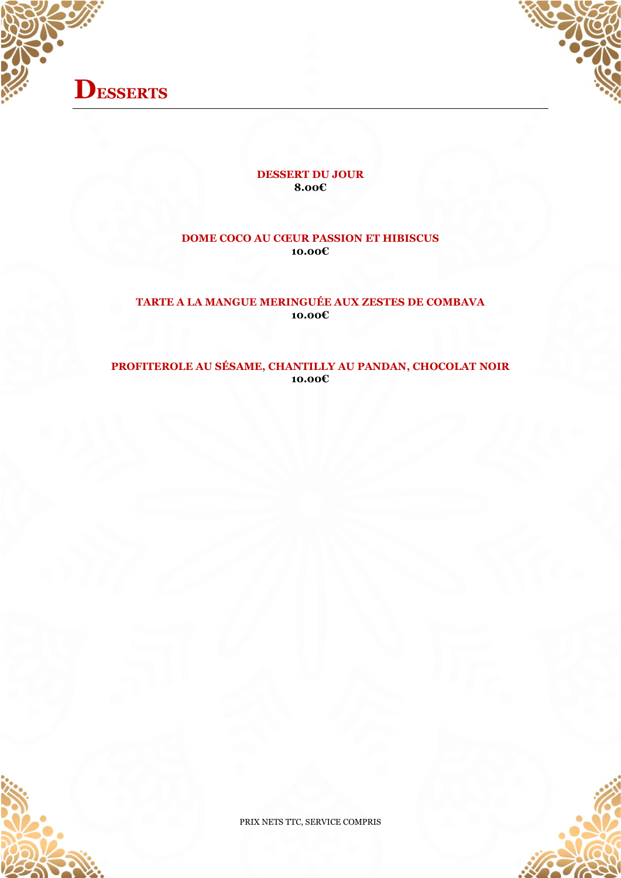



#### **DESSERT DU JOUR 8.00€**

#### **DOME COCO AU CŒUR PASSION ET HIBISCUS 10.00€**

## **TARTE A LA MANGUE MERINGUÉE AUX ZESTES DE COMBAVA 10.00€**

### **PROFITEROLE AU SÉSAME, CHANTILLY AU PANDAN, CHOCOLAT NOIR 10.00€**

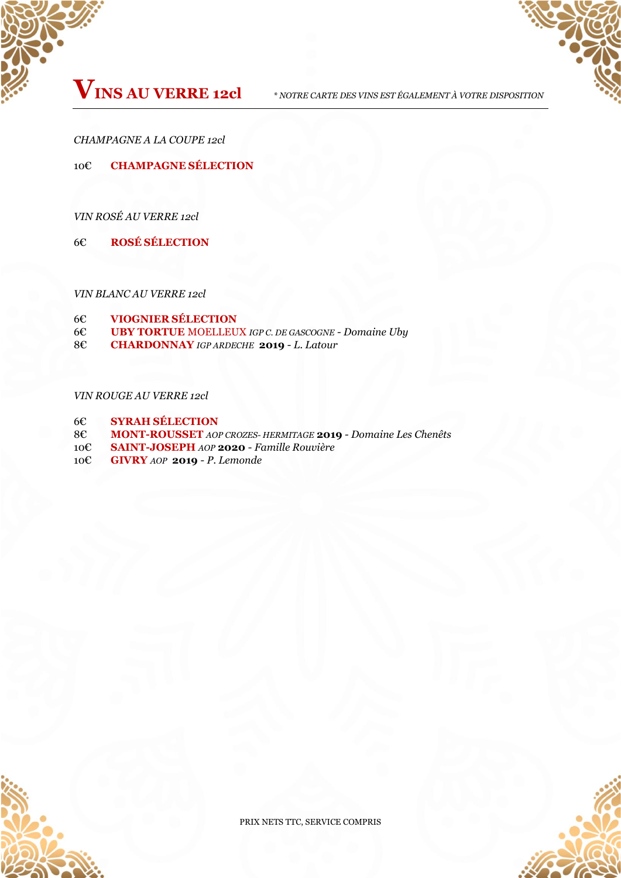

*CHAMPAGNE A LA COUPE 12cl*

10€ **CHAMPAGNE SÉLECTION**

*VIN ROSÉ AU VERRE 12cl*

6€ **ROSÉ SÉLECTION**

*VIN BLANC AU VERRE 12cl*

- 6€ **VIOGNIER SÉLECTION**
- 6€ **UBY TORTUE** MOELLEUX *IGP C. DE GASCOGNE - Domaine Uby*

8€ **CHARDONNAY** *IGP ARDECHE* **2019** - *L. Latour*

#### *VIN ROUGE AU VERRE 12cl*

- 6€ **SYRAH SÉLECTION**
- 8€ **MONT-ROUSSET** *AOP CROZES- HERMITAGE* **2019** *- Domaine Les Chenêts*
- 10€ **SAINT-JOSEPH** *AOP* **2020** *Famille Rouvière*
- 10€ **GIVRY** *AOP* **2019**  *P. Lemonde*

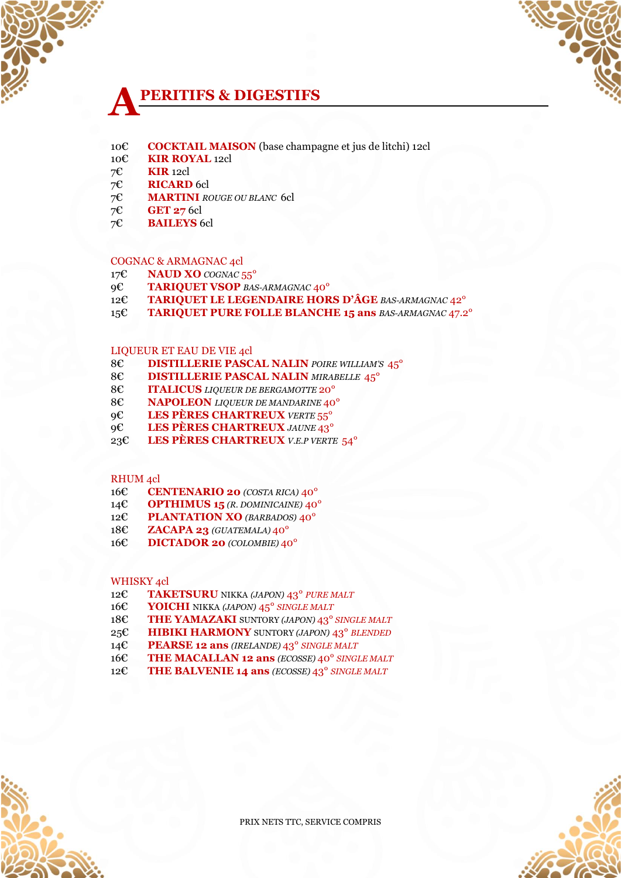## **PERITIFS & DIGESTIFS A**

- € **COCKTAIL MAISON** (base champagne et jus de litchi) 12cl
- € **KIR ROYAL** 12cl
- 7€ **KIR** 12cl
- 7€ **RICARD** 6cl
- 7€ **MARTINI** *ROUGE OU BLANC* 6cl
- 7€ **GET 27** 6cl
- 7€ **BAILEYS** 6cl

#### COGNAC & ARMAGNAC 4cl

- € **NAUD XO** *COGNAC* 55°
- € **TARIQUET VSOP** *BAS-ARMAGNAC* 40°
- € **TARIQUET LE LEGENDAIRE HORS D'ÂGE** *BAS-ARMAGNAC* 42°
- € **TARIQUET PURE FOLLE BLANCHE 15 ans** *BAS-ARMAGNAC* 47.2°

PRIX NETS TTC, SERVICE COMPRIS

#### LIQUEUR ET EAU DE VIE 4cl

- 8€ **DISTILLERIE PASCAL NALIN** *POIRE WILLIAM'S* 45°
- 8€ **DISTILLERIE PASCAL NALIN** *MIRABELLE* 45°
- € **ITALICUS** *LIQUEUR DE BERGAMOTTE* 20°
- € **NAPOLEON** *LIQUEUR DE MANDARINE* 40°
- € **LES PÈRES CHARTREUX** *VERTE* 55°
- € **LES PÈRES CHARTREUX** *JAUNE* 43°
- € **LES PÈRES CHARTREUX** *V.E.P VERTE* 54°

€ **TAKETSURU** NIKKA *(JAPON)* 43° *PURE MALT* € **YOICHI** NIKKA *(JAPON)* 45° *SINGLE MALT*

€ **PEARSE 12 ans** *(IRELANDE)* 43° *SINGLE MALT*

€ **THE YAMAZAKI** SUNTORY *(JAPON)* 43° *SINGLE MALT* € **HIBIKI HARMONY** SUNTORY *(JAPON)* 43° *BLENDED*

€ **THE MACALLAN 12 ans** *(ECOSSE)* 40° *SINGLE MALT* € **THE BALVENIE 14 ans** *(ECOSSE)* 43° *SINGLE MALT*

#### RHUM 4cl

WHISKY 4cl

- € **CENTENARIO 20** *(COSTA RICA)* 40°
- € **OPTHIMUS 15** *(R. DOMINICAINE)* 40°
- 
- 
- € **PLANTATION XO** *(BARBADOS)* 40°
- 
- € **DICTADOR 20** *(COLOMBIE)* 40°
- € **ZACAPA 23** *(GUATEMALA)* 40°
- 
- 
- 
- 
- 
- 
- 
- 
- 
- 
- 
- 
- 
- 
- 
- 
- 
- 
- 
- 
- 
- 
- 
- 
- 
- 
- 
- 
- 
- 
- 
- 
- 
- 
- 
- 
- 
- 
- 
- 
- 
-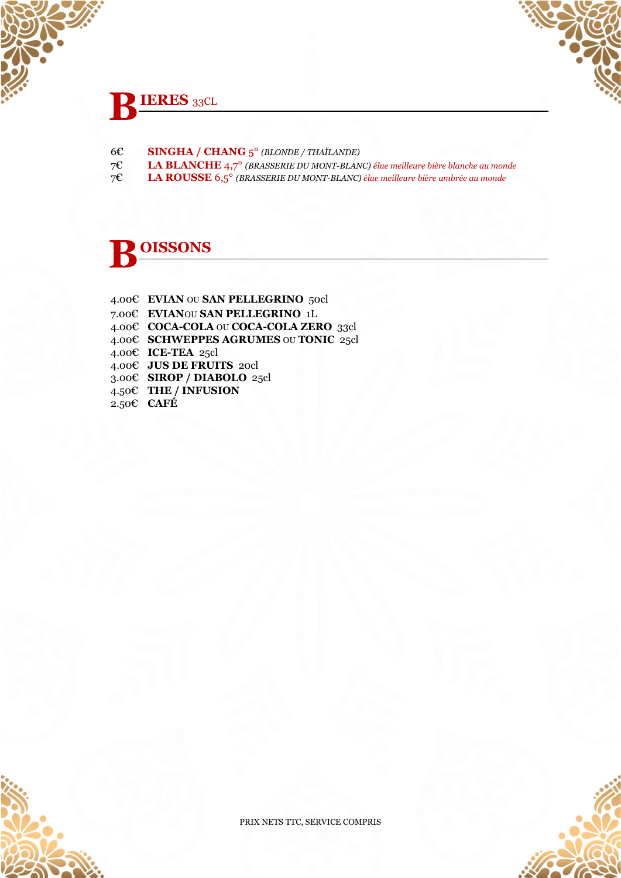# **IERES** 33CL  **B**

- 6€ **SINGHA / CHANG** 5° *(BLONDE / THAÏLANDE)*
- 7€ **LA BLANCHE** 4,7° *(BRASSERIE DU MONT-BLANC) élue meilleure bière blanche au monde*
- 7€ **LA ROUSSE** 6,5° *(BRASSERIE DU MONT-BLANC) élue meilleure bière ambrée au monde*

# **OISSONS B**

4.00€ **EVIAN** OU **SAN PELLEGRINO** 50cl 7.00€ **EVIAN**OU **SAN PELLEGRINO** 1L 4.00€ **COCA-COLA** OU **COCA-COLA ZERO** 33cl 4.00€ **SCHWEPPES AGRUMES** OU **TONIC** 25cl 4.00€ **ICE-TEA** 25cl 4.00€ **JUS DE FRUITS** 20cl 3.00€ **SIROP / DIABOLO** 25cl 4.50€ **THE / INFUSION** 2.50€ **CAFÉ**